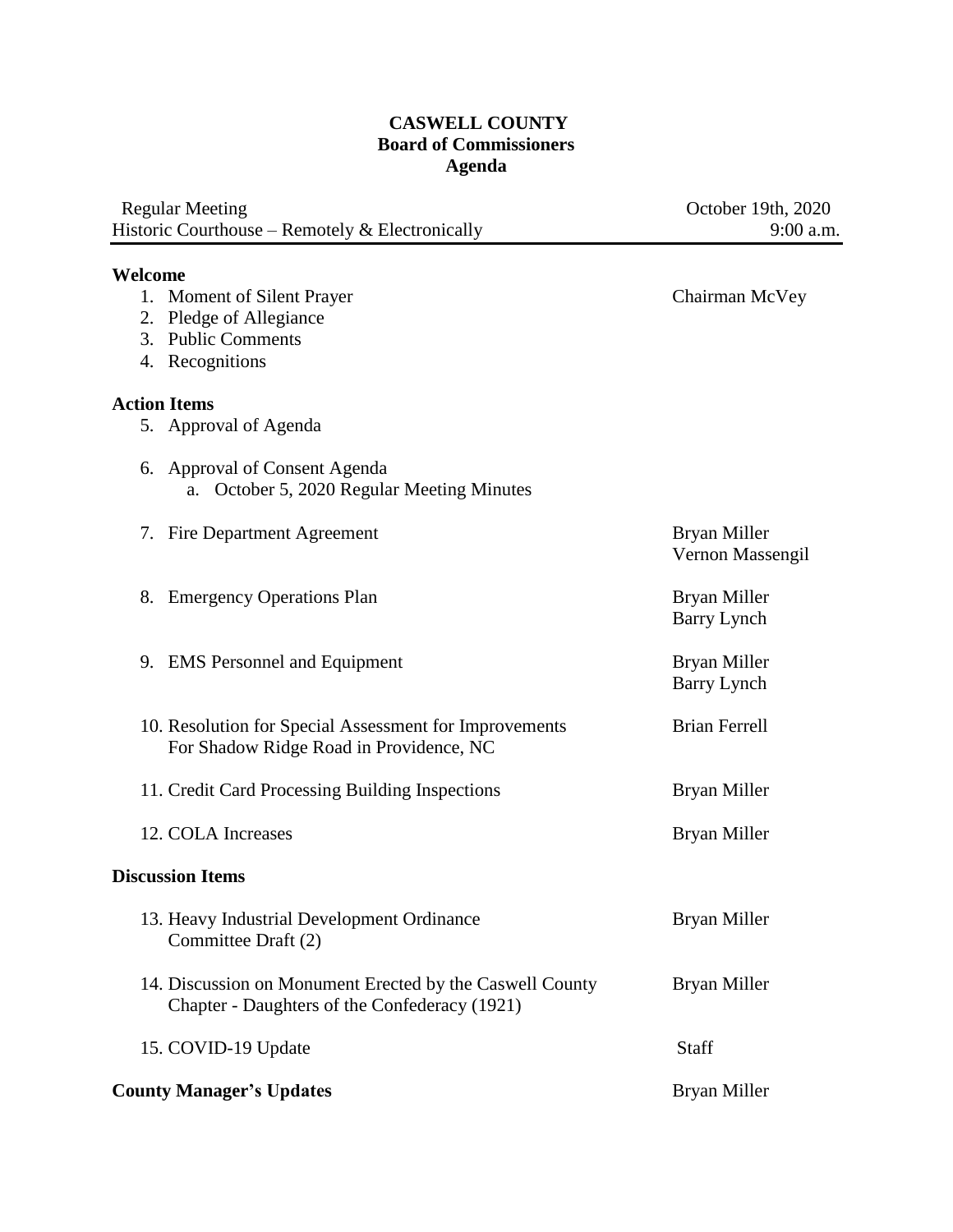## **CASWELL COUNTY Board of Commissioners Agenda**

| <b>Regular Meeting</b><br>Historic Courthouse - Remotely & Electronically                                    | October 19th, 2020<br>9:00 a.m.    |
|--------------------------------------------------------------------------------------------------------------|------------------------------------|
|                                                                                                              |                                    |
| Welcome<br>1. Moment of Silent Prayer<br>Pledge of Allegiance<br>2.<br>3. Public Comments<br>4. Recognitions | Chairman McVey                     |
| <b>Action Items</b>                                                                                          |                                    |
| 5. Approval of Agenda                                                                                        |                                    |
| 6. Approval of Consent Agenda<br>October 5, 2020 Regular Meeting Minutes<br>a.                               |                                    |
| 7. Fire Department Agreement                                                                                 | Bryan Miller<br>Vernon Massengil   |
| 8. Emergency Operations Plan                                                                                 | Bryan Miller<br><b>Barry Lynch</b> |
| 9. EMS Personnel and Equipment                                                                               | Bryan Miller<br><b>Barry Lynch</b> |
| 10. Resolution for Special Assessment for Improvements<br>For Shadow Ridge Road in Providence, NC            | <b>Brian Ferrell</b>               |
| 11. Credit Card Processing Building Inspections                                                              | Bryan Miller                       |
| 12. COLA Increases                                                                                           | Bryan Miller                       |
| <b>Discussion Items</b>                                                                                      |                                    |
| 13. Heavy Industrial Development Ordinance<br>Committee Draft (2)                                            | Bryan Miller                       |
| 14. Discussion on Monument Erected by the Caswell County<br>Chapter - Daughters of the Confederacy (1921)    | Bryan Miller                       |
| 15. COVID-19 Update                                                                                          | Staff                              |
| <b>County Manager's Updates</b>                                                                              | Bryan Miller                       |